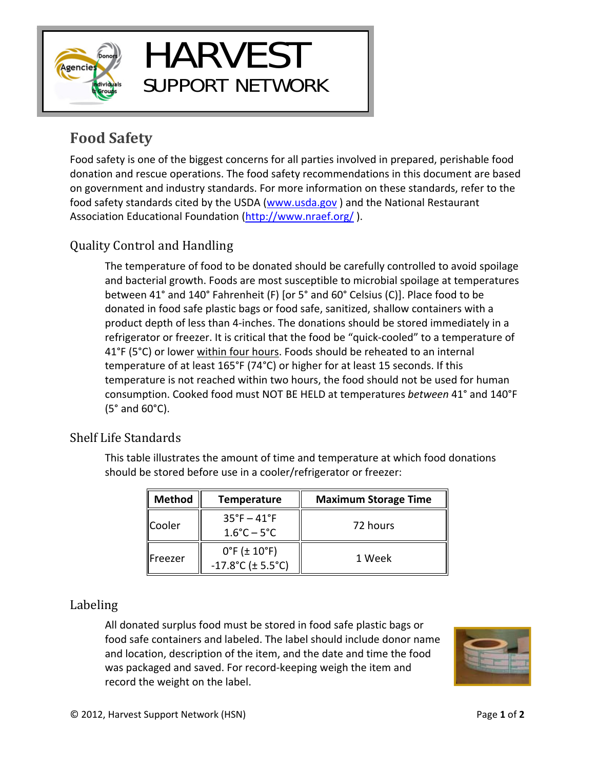

# HARVEST SUPPORT NETWORK

# **Food Safety**

Food safety is one of the biggest concerns for all parties involved in prepared, perishable food donation and rescue operations. The food safety recommendations in this document are based on government and industry standards. For more information on these standards, refer to the food safety standards cited by the USDA (www.usda.gov) and the National Restaurant Association Educational Foundation (http://www.nraef.org/).

# Quality Control and Handling

The temperature of food to be donated should be carefully controlled to avoid spoilage and bacterial growth. Foods are most susceptible to microbial spoilage at temperatures between 41° and 140° Fahrenheit (F) [or 5° and 60° Celsius (C)]. Place food to be donated in food safe plastic bags or food safe, sanitized, shallow containers with a product depth of less than 4‐inches. The donations should be stored immediately in a refrigerator or freezer. It is critical that the food be "quick‐cooled" to a temperature of 41°F (5°C) or lower within four hours. Foods should be reheated to an internal temperature of at least 165°F (74°C) or higher for at least 15 seconds. If this temperature is not reached within two hours, the food should not be used for human consumption. Cooked food must NOT BE HELD at temperatures *between* 41° and 140°F (5° and 60°C).

## Shelf Life Standards

This table illustrates the amount of time and temperature at which food donations should be stored before use in a cooler/refrigerator or freezer:

| <b>Method</b>   | <b>Temperature</b>                                                    | <b>Maximum Storage Time</b> |
|-----------------|-----------------------------------------------------------------------|-----------------------------|
| Cooler          | $35^{\circ}F - 41^{\circ}F$<br>$1.6^{\circ}$ C – 5 $^{\circ}$ C       | 72 hours                    |
| <b>IFreezer</b> | $0^{\circ}$ F ( $\pm$ 10 $^{\circ}$ F)<br>$-17.8^{\circ}$ C (± 5.5°C) | 1 Week                      |

# Labeling

All donated surplus food must be stored in food safe plastic bags or food safe containers and labeled. The label should include donor name and location, description of the item, and the date and time the food was packaged and saved. For record‐keeping weigh the item and record the weight on the label.